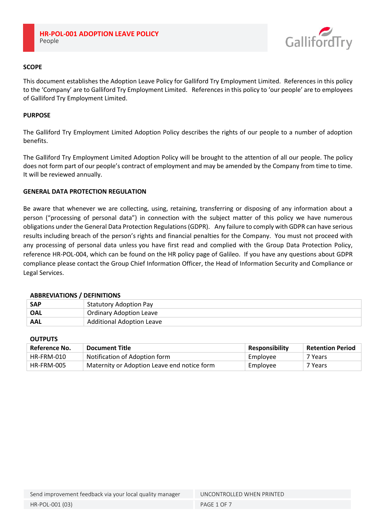

# **SCOPE**

This document establishes the Adoption Leave Policy for Galliford Try Employment Limited. References in this policy to the 'Company' are to Galliford Try Employment Limited. References in this policy to 'our people' are to employees of Galliford Try Employment Limited.

## **PURPOSE**

The Galliford Try Employment Limited Adoption Policy describes the rights of our people to a number of adoption benefits.

The Galliford Try Employment Limited Adoption Policy will be brought to the attention of all our people. The policy does not form part of our people's contract of employment and may be amended by the Company from time to time. It will be reviewed annually.

# **GENERAL DATA PROTECTION REGULATION**

Be aware that whenever we are collecting, using, retaining, transferring or disposing of any information about a person ("processing of personal data") in connection with the subject matter of this policy we have numerous obligations under the General Data Protection Regulations (GDPR). Any failure to comply with GDPR can have serious results including breach of the person's rights and financial penalties for the Company. You must not proceed with any processing of personal data unless you have first read and complied with the Group Data Protection Policy, reference HR-POL-004, which can be found on the HR policy page of Galileo. If you have any questions about GDPR compliance please contact the Group Chief Information Officer, the Head of Information Security and Compliance or Legal Services.

## **ABBREVIATIONS / DEFINITIONS**

| <b>SAP</b> | <b>Statutory Adoption Pay</b>    |
|------------|----------------------------------|
| OAL        | <b>Ordinary Adoption Leave</b>   |
| AAL        | <b>Additional Adoption Leave</b> |

## **OUTPUTS**

| Reference No. | Document Title                              | <b>Responsibility</b> | <b>Retention Period</b> |
|---------------|---------------------------------------------|-----------------------|-------------------------|
| HR-FRM-010    | Notification of Adoption form               | Employee              | 7 Years                 |
| HR-FRM-005    | Maternity or Adoption Leave end notice form | Employee              | 7 Years                 |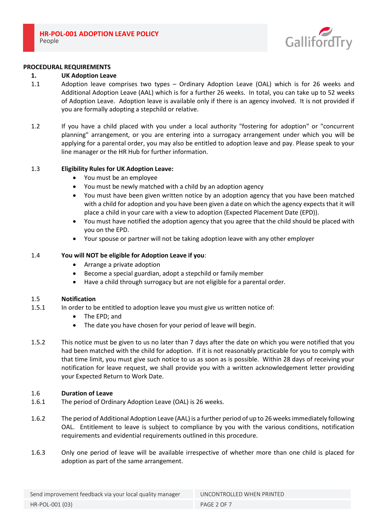

#### **PROCEDURAL REQUIREMENTS**

### **1. UK Adoption Leave**

- 1.1 Adoption leave comprises two types Ordinary Adoption Leave (OAL) which is for 26 weeks and Additional Adoption Leave (AAL) which is for a further 26 weeks. In total, you can take up to 52 weeks of Adoption Leave. Adoption leave is available only if there is an agency involved. It is not provided if you are formally adopting a stepchild or relative.
- 1.2 If you have a child placed with you under a local authority "fostering for adoption" or "concurrent planning" arrangement, or you are entering into a surrogacy arrangement under which you will be applying for a parental order, you may also be entitled to adoption leave and pay. Please speak to your line manager or the HR Hub for further information.

### 1.3 **Eligibility Rules for UK Adoption Leave:**

- You must be an employee
- You must be newly matched with a child by an adoption agency
- You must have been given written notice by an adoption agency that you have been matched with a child for adoption and you have been given a date on which the agency expects that it will place a child in your care with a view to adoption (Expected Placement Date (EPD)).
- You must have notified the adoption agency that you agree that the child should be placed with you on the EPD.
- Your spouse or partner will not be taking adoption leave with any other employer

### 1.4 **You will NOT be eligible for Adoption Leave if you**:

- Arrange a private adoption
- Become a special guardian, adopt a stepchild or family member
- Have a child through surrogacy but are not eligible for a parental order.

#### 1.5 **Notification**

- 1.5.1 In order to be entitled to adoption leave you must give us written notice of:
	- The EPD; and
	- The date you have chosen for your period of leave will begin.
- 1.5.2 This notice must be given to us no later than 7 days after the date on which you were notified that you had been matched with the child for adoption. If it is not reasonably practicable for you to comply with that time limit, you must give such notice to us as soon as is possible. Within 28 days of receiving your notification for leave request, we shall provide you with a written acknowledgement letter providing your Expected Return to Work Date.

#### 1.6 **Duration of Leave**

- 1.6.1 The period of Ordinary Adoption Leave (OAL) is 26 weeks.
- 1.6.2 The period of Additional Adoption Leave (AAL) is a further period of up to 26 weeks immediately following OAL. Entitlement to leave is subject to compliance by you with the various conditions, notification requirements and evidential requirements outlined in this procedure.
- 1.6.3 Only one period of leave will be available irrespective of whether more than one child is placed for adoption as part of the same arrangement.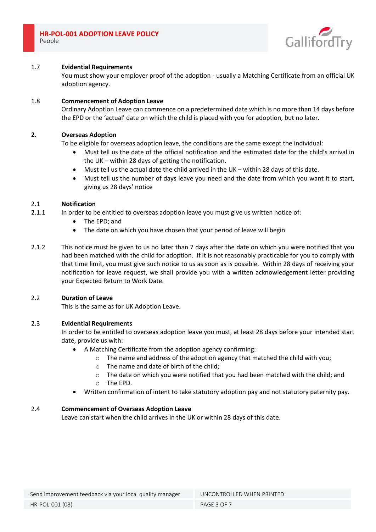

## 1.7 **Evidential Requirements**

You must show your employer proof of the adoption - usually a Matching Certificate from an official UK adoption agency.

### 1.8 **Commencement of Adoption Leave**

Ordinary Adoption Leave can commence on a predetermined date which is no more than 14 days before the EPD or the 'actual' date on which the child is placed with you for adoption, but no later.

# **2. Overseas Adoption**

To be eligible for overseas adoption leave, the conditions are the same except the individual:

- Must tell us the date of the official notification and the estimated date for the child's arrival in the UK – within 28 days of getting the notification.
- Must tell us the actual date the child arrived in the UK within 28 days of this date.
- Must tell us the number of days leave you need and the date from which you want it to start, giving us 28 days' notice

## 2.1 **Notification**

- 2.1.1 In order to be entitled to overseas adoption leave you must give us written notice of:
	- The EPD; and
	- The date on which you have chosen that your period of leave will begin
- 2.1.2 This notice must be given to us no later than 7 days after the date on which you were notified that you had been matched with the child for adoption. If it is not reasonably practicable for you to comply with that time limit, you must give such notice to us as soon as is possible. Within 28 days of receiving your notification for leave request, we shall provide you with a written acknowledgement letter providing your Expected Return to Work Date.

## 2.2 **Duration of Leave**

This is the same as for UK Adoption Leave.

## 2.3 **Evidential Requirements**

In order to be entitled to overseas adoption leave you must, at least 28 days before your intended start date, provide us with:

- A Matching Certificate from the adoption agency confirming:
	- o The name and address of the adoption agency that matched the child with you;
	- o The name and date of birth of the child;
	- $\circ$  The date on which you were notified that you had been matched with the child; and
	- o The EPD.
- Written confirmation of intent to take statutory adoption pay and not statutory paternity pay.

## 2.4 **Commencement of Overseas Adoption Leave**

Leave can start when the child arrives in the UK or within 28 days of this date.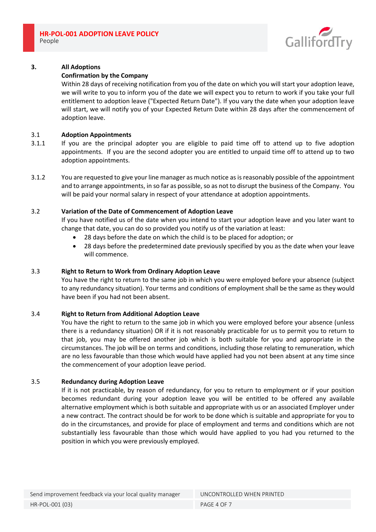

# **3. All Adoptions**

## **Confirmation by the Company**

Within 28 days of receiving notification from you of the date on which you will start your adoption leave, we will write to you to inform you of the date we will expect you to return to work if you take your full entitlement to adoption leave ("Expected Return Date"). If you vary the date when your adoption leave will start, we will notify you of your Expected Return Date within 28 days after the commencement of adoption leave.

### 3.1 **Adoption Appointments**

- 3.1.1 If you are the principal adopter you are eligible to paid time off to attend up to five adoption appointments. If you are the second adopter you are entitled to unpaid time off to attend up to two adoption appointments.
- 3.1.2 You are requested to give your line manager as much notice as is reasonably possible of the appointment and to arrange appointments, in so far as possible, so as not to disrupt the business of the Company. You will be paid your normal salary in respect of your attendance at adoption appointments.

### 3.2 **Variation of the Date of Commencement of Adoption Leave**

If you have notified us of the date when you intend to start your adoption leave and you later want to change that date, you can do so provided you notify us of the variation at least:

- 28 days before the date on which the child is to be placed for adoption; or
- 28 days before the predetermined date previously specified by you as the date when your leave will commence.

## 3.3 **Right to Return to Work from Ordinary Adoption Leave**

You have the right to return to the same job in which you were employed before your absence (subject to any redundancy situation). Your terms and conditions of employment shall be the same as they would have been if you had not been absent.

## 3.4 **Right to Return from Additional Adoption Leave**

You have the right to return to the same job in which you were employed before your absence (unless there is a redundancy situation) OR if it is not reasonably practicable for us to permit you to return to that job, you may be offered another job which is both suitable for you and appropriate in the circumstances. The job will be on terms and conditions, including those relating to remuneration, which are no less favourable than those which would have applied had you not been absent at any time since the commencement of your adoption leave period.

## 3.5 **Redundancy during Adoption Leave**

If it is not practicable, by reason of redundancy, for you to return to employment or if your position becomes redundant during your adoption leave you will be entitled to be offered any available alternative employment which is both suitable and appropriate with us or an associated Employer under a new contract. The contract should be for work to be done which is suitable and appropriate for you to do in the circumstances, and provide for place of employment and terms and conditions which are not substantially less favourable than those which would have applied to you had you returned to the position in which you were previously employed.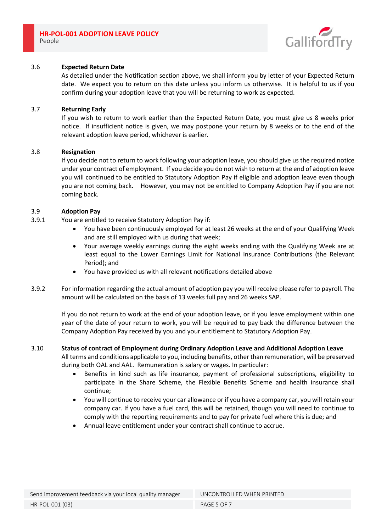

## 3.6 **Expected Return Date**

As detailed under the Notification section above, we shall inform you by letter of your Expected Return date. We expect you to return on this date unless you inform us otherwise. It is helpful to us if you confirm during your adoption leave that you will be returning to work as expected.

#### 3.7 **Returning Early**

If you wish to return to work earlier than the Expected Return Date, you must give us 8 weeks prior notice. If insufficient notice is given, we may postpone your return by 8 weeks or to the end of the relevant adoption leave period, whichever is earlier.

### 3.8 **Resignation**

If you decide not to return to work following your adoption leave, you should give us the required notice under your contract of employment. If you decide you do not wish to return at the end of adoption leave you will continued to be entitled to Statutory Adoption Pay if eligible and adoption leave even though you are not coming back. However, you may not be entitled to Company Adoption Pay if you are not coming back.

### 3.9 **Adoption Pay**

- 3.9.1 You are entitled to receive Statutory Adoption Pay if:
	- You have been continuously employed for at least 26 weeks at the end of your Qualifying Week and are still employed with us during that week;
	- Your average weekly earnings during the eight weeks ending with the Qualifying Week are at least equal to the Lower Earnings Limit for National Insurance Contributions (the Relevant Period); and
	- You have provided us with all relevant notifications detailed above
- 3.9.2 For information regarding the actual amount of adoption pay you will receive please refer to payroll. The amount will be calculated on the basis of 13 weeks full pay and 26 weeks SAP.

If you do not return to work at the end of your adoption leave, or if you leave employment within one year of the date of your return to work, you will be required to pay back the difference between the Company Adoption Pay received by you and your entitlement to Statutory Adoption Pay.

# 3.10 **Status of contract of Employment during Ordinary Adoption Leave and Additional Adoption Leave**

All terms and conditions applicable to you, including benefits, other than remuneration, will be preserved during both OAL and AAL. Remuneration is salary or wages. In particular:

- Benefits in kind such as life insurance, payment of professional subscriptions, eligibility to participate in the Share Scheme, the Flexible Benefits Scheme and health insurance shall continue;
- You will continue to receive your car allowance or if you have a company car, you will retain your company car. If you have a fuel card, this will be retained, though you will need to continue to comply with the reporting requirements and to pay for private fuel where this is due; and
- Annual leave entitlement under your contract shall continue to accrue.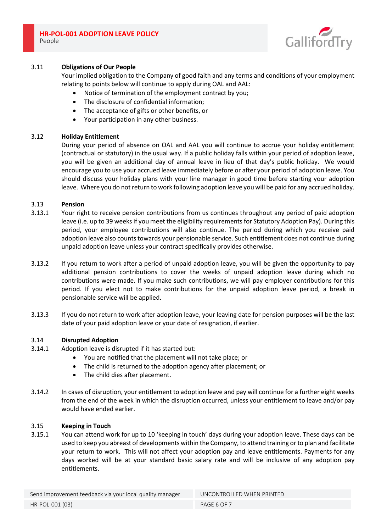

# 3.11 **Obligations of Our People**

Your implied obligation to the Company of good faith and any terms and conditions of your employment relating to points below will continue to apply during OAL and AAL:

- Notice of termination of the employment contract by you;
- The disclosure of confidential information;
- The acceptance of gifts or other benefits, or
- Your participation in any other business.

## 3.12 **Holiday Entitlement**

During your period of absence on OAL and AAL you will continue to accrue your holiday entitlement (contractual or statutory) in the usual way. If a public holiday falls within your period of adoption leave, you will be given an additional day of annual leave in lieu of that day's public holiday. We would encourage you to use your accrued leave immediately before or after your period of adoption leave. You should discuss your holiday plans with your line manager in good time before starting your adoption leave. Where you do not return to work following adoption leave you will be paid for any accrued holiday.

## 3.13 **Pension**

- 3.13.1 Your right to receive pension contributions from us continues throughout any period of paid adoption leave (i.e. up to 39 weeks if you meet the eligibility requirements for Statutory Adoption Pay). During this period, your employee contributions will also continue. The period during which you receive paid adoption leave also counts towards your pensionable service. Such entitlement does not continue during unpaid adoption leave unless your contract specifically provides otherwise.
- 3.13.2 If you return to work after a period of unpaid adoption leave, you will be given the opportunity to pay additional pension contributions to cover the weeks of unpaid adoption leave during which no contributions were made. If you make such contributions, we will pay employer contributions for this period. If you elect not to make contributions for the unpaid adoption leave period, a break in pensionable service will be applied.
- 3.13.3 If you do not return to work after adoption leave, your leaving date for pension purposes will be the last date of your paid adoption leave or your date of resignation, if earlier.

## 3.14 **Disrupted Adoption**

- 3.14.1 Adoption leave is disrupted if it has started but:
	- You are notified that the placement will not take place; or
	- The child is returned to the adoption agency after placement; or
	- The child dies after placement.
- 3.14.2 In cases of disruption, your entitlement to adoption leave and pay will continue for a further eight weeks from the end of the week in which the disruption occurred, unless your entitlement to leave and/or pay would have ended earlier.

## 3.15 **Keeping in Touch**

3.15.1 You can attend work for up to 10 'keeping in touch' days during your adoption leave. These days can be used to keep you abreast of developments within the Company, to attend training or to plan and facilitate your return to work. This will not affect your adoption pay and leave entitlements. Payments for any days worked will be at your standard basic salary rate and will be inclusive of any adoption pay entitlements.